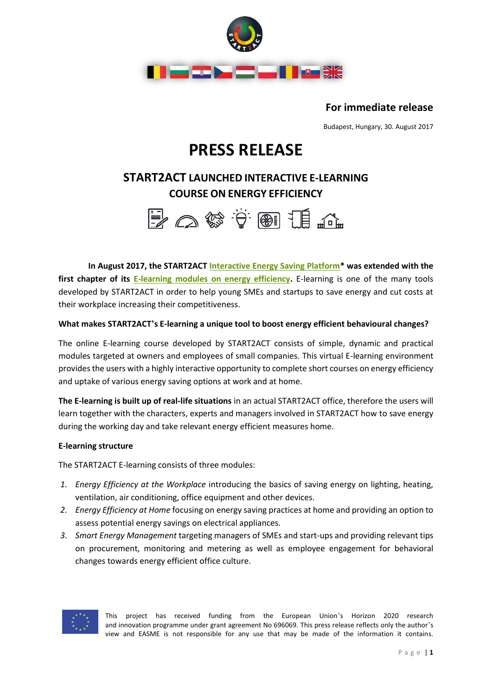

**For immediate release**

Budapest, Hungary, 30. August 2017

# **PRESS RELEASE**

### **START2ACT LAUNCHED INTERACTIVE E-LEARNING COURSE ON ENERGY EFFICIENCY**



**In August 2017, the START2ACT [Interactive Energy Saving Platform\\*](http://www.start2act.eu/interactive-energy-saving-platform/) was extended with the first chapter of its [E-learning modules on energy efficiency.](http://www.start2act.eu/interactive-energy-saving-platform/e-learning)** E-learning is one of the many tools developed by START2ACT in order to help young SMEs and startups to save energy and cut costs at their workplace increasing their competitiveness.

#### **What makes START2ACT's E-learning a unique tool to boost energy efficient behavioural changes?**

The online E-learning course developed by START2ACT consists of simple, dynamic and practical modules targeted at owners and employees of small companies. This virtual E-learning environment provides the users with a highly interactive opportunity to complete short courses on energy efficiency and uptake of various energy saving options at work and at home.

**The E-learning is built up of real-life situations** in an actual START2ACT office, therefore the users will learn together with the characters, experts and managers involved in START2ACT how to save energy during the working day and take relevant energy efficient measures home.

#### **E-learning structure**

The START2ACT E-learning consists of three modules:

- *1. Energy Efficiency at the Workplace* introducing the basics of saving energy on lighting, heating, ventilation, air conditioning, office equipment and other devices.
- *2. Energy Efficiency at Home* focusing on energy saving practices at home and providing an option to assess potential energy savings on electrical appliances.
- *3. Smart Energy Management* targeting managers of SMEs and start-ups and providing relevant tips on procurement, monitoring and metering as well as employee engagement for behavioral changes towards energy efficient office culture.



This project has received funding from the European Union's Horizon 2020 research and innovation programme under grant agreement No 696069. This press release reflects only the author's view and EASME is not responsible for any use that may be made of the information it contains.